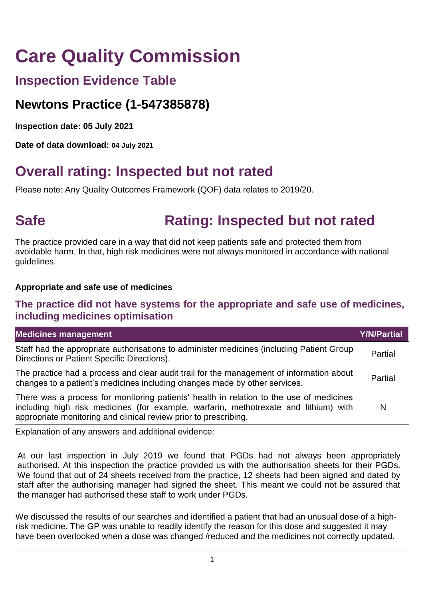# **Care Quality Commission**

### **Inspection Evidence Table**

### **Newtons Practice (1-547385878)**

**Inspection date: 05 July 2021**

**Date of data download: 04 July 2021**

# **Overall rating: Inspected but not rated**

Please note: Any Quality Outcomes Framework (QOF) data relates to 2019/20.

# **Safe <b>Rating:** Inspected but not rated

The practice provided care in a way that did not keep patients safe and protected them from avoidable harm. In that, high risk medicines were not always monitored in accordance with national guidelines.

### **Appropriate and safe use of medicines**

### **The practice did not have systems for the appropriate and safe use of medicines, including medicines optimisation**

| <b>Medicines management</b>                                                                                                                                                                                                                         | Y/N/Partial |
|-----------------------------------------------------------------------------------------------------------------------------------------------------------------------------------------------------------------------------------------------------|-------------|
| Staff had the appropriate authorisations to administer medicines (including Patient Group<br>Directions or Patient Specific Directions).                                                                                                            | Partial     |
| The practice had a process and clear audit trail for the management of information about<br>changes to a patient's medicines including changes made by other services.                                                                              | Partial     |
| There was a process for monitoring patients' health in relation to the use of medicines<br>including high risk medicines (for example, warfarin, methotrexate and lithium) with<br>appropriate monitoring and clinical review prior to prescribing. | N           |

Explanation of any answers and additional evidence:

At our last inspection in July 2019 we found that PGDs had not always been appropriately authorised. At this inspection the practice provided us with the authorisation sheets for their PGDs. We found that out of 24 sheets received from the practice, 12 sheets had been signed and dated by staff after the authorising manager had signed the sheet. This meant we could not be assured that the manager had authorised these staff to work under PGDs.

We discussed the results of our searches and identified a patient that had an unusual dose of a highrisk medicine. The GP was unable to readily identify the reason for this dose and suggested it may have been overlooked when a dose was changed /reduced and the medicines not correctly updated.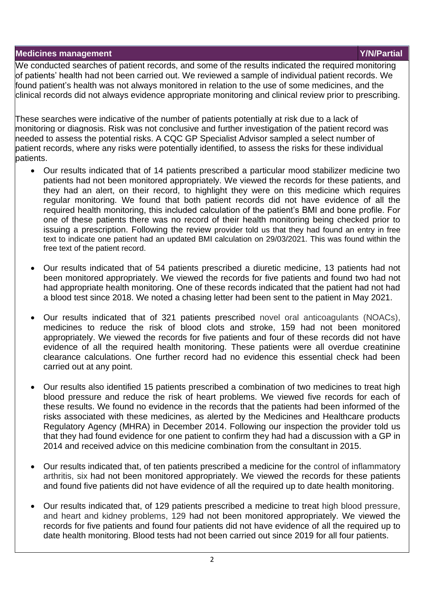#### **Medicines management Y/N/Partial**

We conducted searches of patient records, and some of the results indicated the required monitoring of patients' health had not been carried out. We reviewed a sample of individual patient records. We found patient's health was not always monitored in relation to the use of some medicines, and the clinical records did not always evidence appropriate monitoring and clinical review prior to prescribing.

These searches were indicative of the number of patients potentially at risk due to a lack of monitoring or diagnosis. Risk was not conclusive and further investigation of the patient record was needed to assess the potential risks. A CQC GP Specialist Advisor sampled a select number of patient records, where any risks were potentially identified, to assess the risks for these individual patients.

- Our results indicated that of 14 patients prescribed a particular mood stabilizer medicine two patients had not been monitored appropriately. We viewed the records for these patients, and they had an alert, on their record, to highlight they were on this medicine which requires regular monitoring. We found that both patient records did not have evidence of all the required health monitoring, this included calculation of the patient's BMI and bone profile. For one of these patients there was no record of their health monitoring being checked prior to issuing a prescription. Following the review provider told us that they had found an entry in free text to indicate one patient had an updated BMI calculation on 29/03/2021. This was found within the free text of the patient record.
- Our results indicated that of 54 patients prescribed a diuretic medicine, 13 patients had not been monitored appropriately. We viewed the records for five patients and found two had not had appropriate health monitoring. One of these records indicated that the patient had not had a blood test since 2018. We noted a chasing letter had been sent to the patient in May 2021.
- Our results indicated that of 321 patients prescribed novel oral anticoagulants (NOACs), medicines to reduce the risk of blood clots and stroke, 159 had not been monitored appropriately. We viewed the records for five patients and four of these records did not have evidence of all the required health monitoring. These patients were all overdue creatinine clearance calculations. One further record had no evidence this essential check had been carried out at any point.
- Our results also identified 15 patients prescribed a combination of two medicines to treat high blood pressure and reduce the risk of heart problems. We viewed five records for each of these results. We found no evidence in the records that the patients had been informed of the risks associated with these medicines, as alerted by the Medicines and Healthcare products Regulatory Agency (MHRA) in December 2014. Following our inspection the provider told us that they had found evidence for one patient to confirm they had had a discussion with a GP in 2014 and received advice on this medicine combination from the consultant in 2015.
- Our results indicated that, of ten patients prescribed a medicine for the control of inflammatory arthritis, six had not been monitored appropriately. We viewed the records for these patients and found five patients did not have evidence of all the required up to date health monitoring.
- Our results indicated that, of 129 patients prescribed a medicine to treat high blood pressure, and heart and kidney problems, 129 had not been monitored appropriately. We viewed the records for five patients and found four patients did not have evidence of all the required up to date health monitoring. Blood tests had not been carried out since 2019 for all four patients.